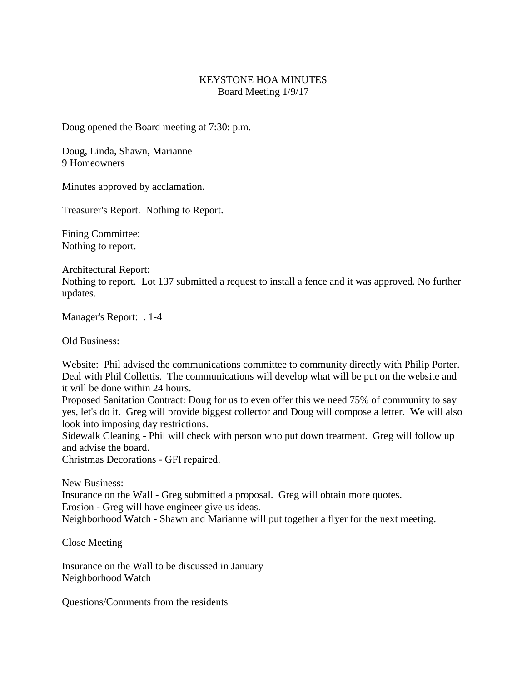## KEYSTONE HOA MINUTES Board Meeting 1/9/17

Doug opened the Board meeting at 7:30: p.m.

Doug, Linda, Shawn, Marianne 9 Homeowners

Minutes approved by acclamation.

Treasurer's Report. Nothing to Report.

Fining Committee: Nothing to report.

Architectural Report:

Nothing to report. Lot 137 submitted a request to install a fence and it was approved. No further updates.

Manager's Report: . 1-4

Old Business:

Website: Phil advised the communications committee to community directly with Philip Porter. Deal with Phil Collettis. The communications will develop what will be put on the website and it will be done within 24 hours.

Proposed Sanitation Contract: Doug for us to even offer this we need 75% of community to say yes, let's do it. Greg will provide biggest collector and Doug will compose a letter. We will also look into imposing day restrictions.

Sidewalk Cleaning - Phil will check with person who put down treatment. Greg will follow up and advise the board.

Christmas Decorations - GFI repaired.

New Business: Insurance on the Wall - Greg submitted a proposal. Greg will obtain more quotes. Erosion - Greg will have engineer give us ideas. Neighborhood Watch - Shawn and Marianne will put together a flyer for the next meeting.

Close Meeting

Insurance on the Wall to be discussed in January Neighborhood Watch

Questions/Comments from the residents